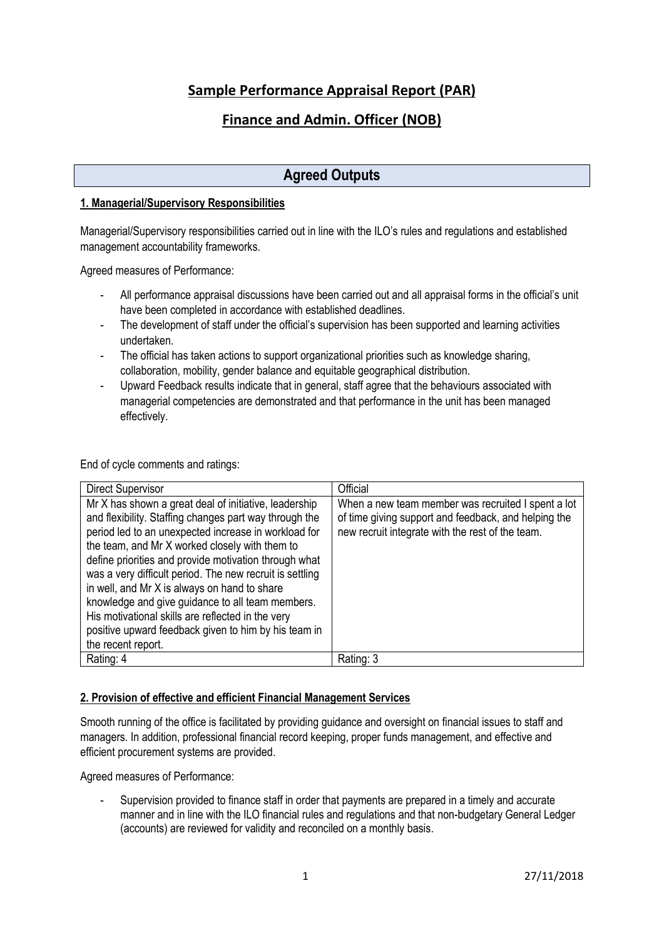# **Sample Performance Appraisal Report (PAR)**

# **Finance and Admin. Officer (NOB)**

# **Agreed Outputs**

#### **1. Managerial/Supervisory Responsibilities**

Managerial/Supervisory responsibilities carried out in line with the ILO's rules and regulations and established management accountability frameworks.

Agreed measures of Performance:

- All performance appraisal discussions have been carried out and all appraisal forms in the official's unit have been completed in accordance with established deadlines.
- The development of staff under the official's supervision has been supported and learning activities undertaken.
- The official has taken actions to support organizational priorities such as knowledge sharing, collaboration, mobility, gender balance and equitable geographical distribution.
- Upward Feedback results indicate that in general, staff agree that the behaviours associated with managerial competencies are demonstrated and that performance in the unit has been managed effectively.

End of cycle comments and ratings:

| <b>Direct Supervisor</b>                                                                                                                                                                                                                                                                                                                                                                                                                                                                                                                                                              | Official                                                                                                                                                       |
|---------------------------------------------------------------------------------------------------------------------------------------------------------------------------------------------------------------------------------------------------------------------------------------------------------------------------------------------------------------------------------------------------------------------------------------------------------------------------------------------------------------------------------------------------------------------------------------|----------------------------------------------------------------------------------------------------------------------------------------------------------------|
| Mr X has shown a great deal of initiative, leadership<br>and flexibility. Staffing changes part way through the<br>period led to an unexpected increase in workload for<br>the team, and Mr X worked closely with them to<br>define priorities and provide motivation through what<br>was a very difficult period. The new recruit is settling<br>in well, and Mr X is always on hand to share<br>knowledge and give guidance to all team members.<br>His motivational skills are reflected in the very<br>positive upward feedback given to him by his team in<br>the recent report. | When a new team member was recruited I spent a lot<br>of time giving support and feedback, and helping the<br>new recruit integrate with the rest of the team. |
| Rating: 4                                                                                                                                                                                                                                                                                                                                                                                                                                                                                                                                                                             | Rating: 3                                                                                                                                                      |

#### **2. Provision of effective and efficient Financial Management Services**

Smooth running of the office is facilitated by providing guidance and oversight on financial issues to staff and managers. In addition, professional financial record keeping, proper funds management, and effective and efficient procurement systems are provided.

Agreed measures of Performance:

- Supervision provided to finance staff in order that payments are prepared in a timely and accurate manner and in line with the ILO financial rules and regulations and that non-budgetary General Ledger (accounts) are reviewed for validity and reconciled on a monthly basis.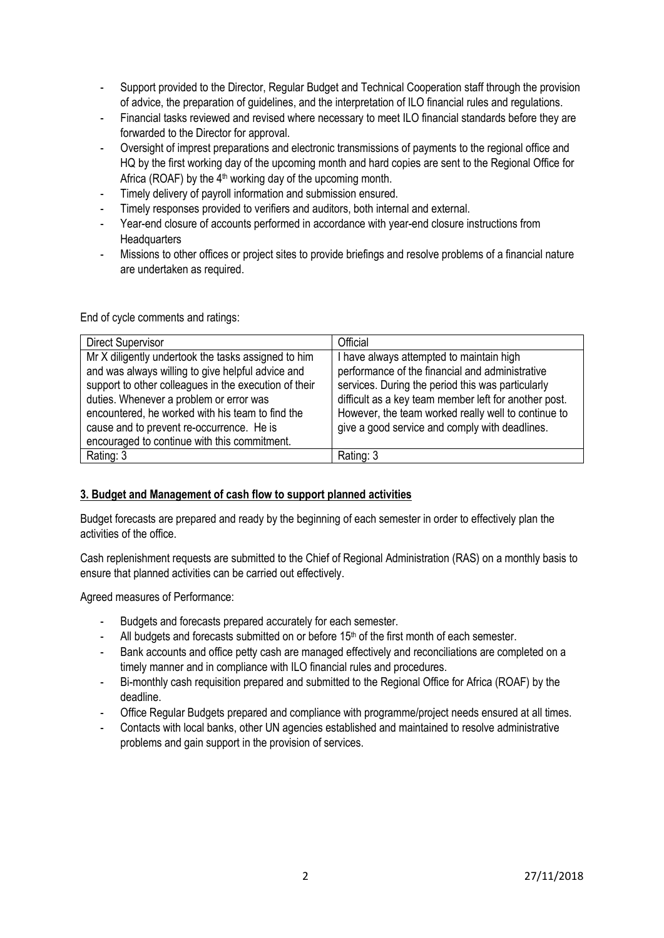- Support provided to the Director, Regular Budget and Technical Cooperation staff through the provision of advice, the preparation of guidelines, and the interpretation of ILO financial rules and regulations.
- Financial tasks reviewed and revised where necessary to meet ILO financial standards before they are forwarded to the Director for approval.
- Oversight of imprest preparations and electronic transmissions of payments to the regional office and HQ by the first working day of the upcoming month and hard copies are sent to the Regional Office for Africa (ROAF) by the  $4<sup>th</sup>$  working day of the upcoming month.
- Timely delivery of payroll information and submission ensured.
- Timely responses provided to verifiers and auditors, both internal and external.
- Year-end closure of accounts performed in accordance with year-end closure instructions from **Headquarters**
- Missions to other offices or project sites to provide briefings and resolve problems of a financial nature are undertaken as required.

End of cycle comments and ratings:

| <b>Direct Supervisor</b>                                                                                                                                                                                     | Official                                                                                                                                                                                                |
|--------------------------------------------------------------------------------------------------------------------------------------------------------------------------------------------------------------|---------------------------------------------------------------------------------------------------------------------------------------------------------------------------------------------------------|
| Mr X diligently undertook the tasks assigned to him<br>and was always willing to give helpful advice and<br>support to other colleagues in the execution of their<br>duties. Whenever a problem or error was | have always attempted to maintain high<br>performance of the financial and administrative<br>services. During the period this was particularly<br>difficult as a key team member left for another post. |
| encountered, he worked with his team to find the<br>cause and to prevent re-occurrence. He is<br>encouraged to continue with this commitment.                                                                | However, the team worked really well to continue to<br>give a good service and comply with deadlines.                                                                                                   |
| Rating: 3                                                                                                                                                                                                    | Rating: 3                                                                                                                                                                                               |

#### **3. Budget and Management of cash flow to support planned activities**

Budget forecasts are prepared and ready by the beginning of each semester in order to effectively plan the activities of the office.

Cash replenishment requests are submitted to the Chief of Regional Administration (RAS) on a monthly basis to ensure that planned activities can be carried out effectively.

Agreed measures of Performance:

- Budgets and forecasts prepared accurately for each semester.
- All budgets and forecasts submitted on or before 15<sup>th</sup> of the first month of each semester.
- Bank accounts and office petty cash are managed effectively and reconciliations are completed on a timely manner and in compliance with ILO financial rules and procedures.
- Bi-monthly cash requisition prepared and submitted to the Regional Office for Africa (ROAF) by the deadline.
- Office Regular Budgets prepared and compliance with programme/project needs ensured at all times.
- Contacts with local banks, other UN agencies established and maintained to resolve administrative problems and gain support in the provision of services.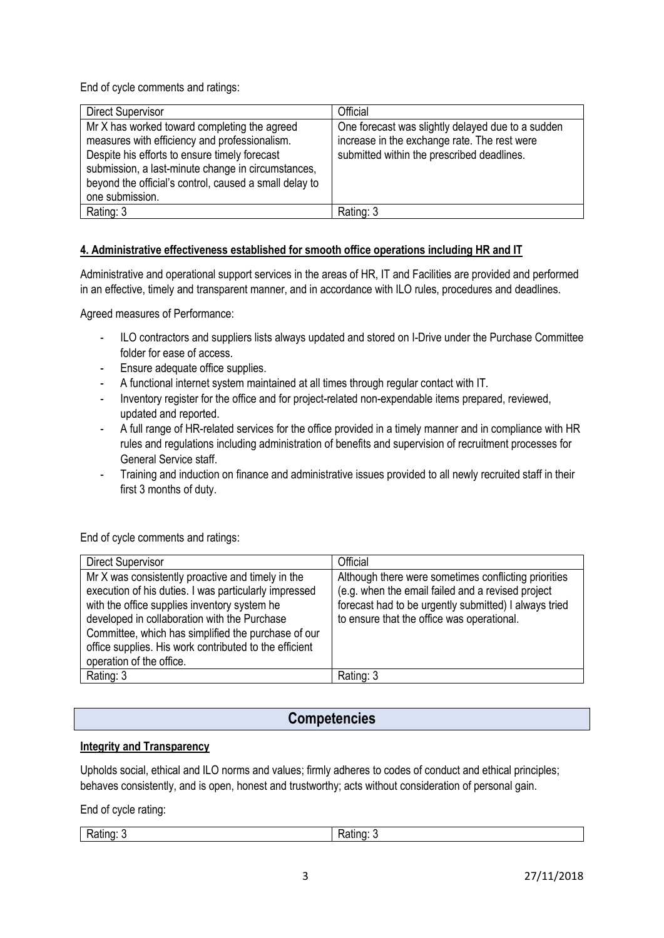End of cycle comments and ratings:

| Direct Supervisor                                                                                                                                                                                                                                                                 | Official                                                                                                                                        |
|-----------------------------------------------------------------------------------------------------------------------------------------------------------------------------------------------------------------------------------------------------------------------------------|-------------------------------------------------------------------------------------------------------------------------------------------------|
| Mr X has worked toward completing the agreed<br>measures with efficiency and professionalism.<br>Despite his efforts to ensure timely forecast<br>submission, a last-minute change in circumstances,<br>beyond the official's control, caused a small delay to<br>one submission. | One forecast was slightly delayed due to a sudden<br>increase in the exchange rate. The rest were<br>submitted within the prescribed deadlines. |
| Rating: 3                                                                                                                                                                                                                                                                         | Rating: 3                                                                                                                                       |

### **4. Administrative effectiveness established for smooth office operations including HR and IT**

Administrative and operational support services in the areas of HR, IT and Facilities are provided and performed in an effective, timely and transparent manner, and in accordance with ILO rules, procedures and deadlines.

Agreed measures of Performance:

- ILO contractors and suppliers lists always updated and stored on I-Drive under the Purchase Committee folder for ease of access.
- Ensure adequate office supplies.
- A functional internet system maintained at all times through regular contact with IT.
- Inventory register for the office and for project-related non-expendable items prepared, reviewed, updated and reported.
- A full range of HR-related services for the office provided in a timely manner and in compliance with HR rules and regulations including administration of benefits and supervision of recruitment processes for General Service staff.
- Training and induction on finance and administrative issues provided to all newly recruited staff in their first 3 months of duty.

End of cycle comments and ratings:

| <b>Direct Supervisor</b>                                                                                                                                                                                                                                                                                                                                | Official                                                                                                                                                                                                         |
|---------------------------------------------------------------------------------------------------------------------------------------------------------------------------------------------------------------------------------------------------------------------------------------------------------------------------------------------------------|------------------------------------------------------------------------------------------------------------------------------------------------------------------------------------------------------------------|
| Mr X was consistently proactive and timely in the<br>execution of his duties. I was particularly impressed<br>with the office supplies inventory system he<br>developed in collaboration with the Purchase<br>Committee, which has simplified the purchase of our<br>office supplies. His work contributed to the efficient<br>operation of the office. | Although there were sometimes conflicting priorities<br>(e.g. when the email failed and a revised project<br>forecast had to be urgently submitted) I always tried<br>to ensure that the office was operational. |
| Rating: 3                                                                                                                                                                                                                                                                                                                                               | Rating: 3                                                                                                                                                                                                        |

# **Competencies**

#### **Integrity and Transparency**

Upholds social, ethical and ILO norms and values; firmly adheres to codes of conduct and ethical principles; behaves consistently, and is open, honest and trustworthy; acts without consideration of personal gain.

End of cycle rating:

Rating: 3 Rating: 3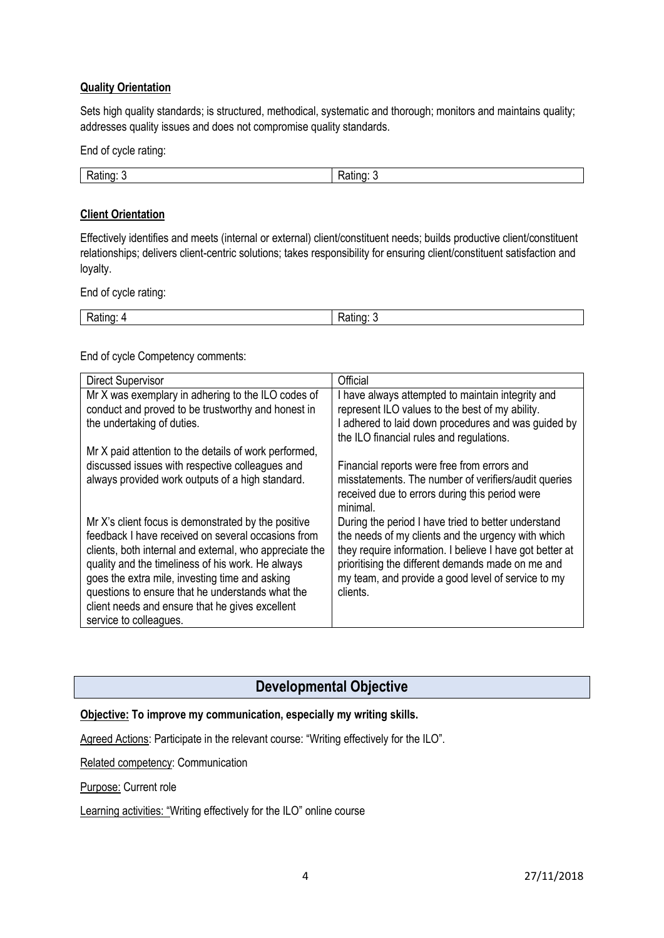#### **Quality Orientation**

Sets high quality standards; is structured, methodical, systematic and thorough; monitors and maintains quality; addresses quality issues and does not compromise quality standards.

End of cycle rating:

| - | .<br>ш<br>vau |
|---|---------------|

#### **Client Orientation**

Effectively identifies and meets (internal or external) client/constituent needs; builds productive client/constituent relationships; delivers client-centric solutions; takes responsibility for ensuring client/constituent satisfaction and loyalty.

End of cycle rating:

| $\overline{\phantom{a}}$ |               |
|--------------------------|---------------|
| Rating:                  | ⊿tın∩∵        |
|                          | ⊼au⊓y.<br>. . |

End of cycle Competency comments:

| <b>Direct Supervisor</b>                                | Official                                                 |
|---------------------------------------------------------|----------------------------------------------------------|
| Mr X was exemplary in adhering to the ILO codes of      | I have always attempted to maintain integrity and        |
| conduct and proved to be trustworthy and honest in      | represent ILO values to the best of my ability.          |
| the undertaking of duties.                              | adhered to laid down procedures and was guided by        |
|                                                         | the ILO financial rules and regulations.                 |
| Mr X paid attention to the details of work performed,   |                                                          |
| discussed issues with respective colleagues and         | Financial reports were free from errors and              |
| always provided work outputs of a high standard.        | misstatements. The number of verifiers/audit queries     |
|                                                         | received due to errors during this period were           |
|                                                         | minimal.                                                 |
| Mr X's client focus is demonstrated by the positive     | During the period I have tried to better understand      |
| feedback I have received on several occasions from      | the needs of my clients and the urgency with which       |
| clients, both internal and external, who appreciate the | they require information. I believe I have got better at |
| quality and the timeliness of his work. He always       | prioritising the different demands made on me and        |
| goes the extra mile, investing time and asking          | my team, and provide a good level of service to my       |
| questions to ensure that he understands what the        | clients.                                                 |
| client needs and ensure that he gives excellent         |                                                          |
| service to colleagues.                                  |                                                          |

### **Developmental Objective**

### **Objective: To improve my communication, especially my writing skills.**

Agreed Actions: Participate in the relevant course: "Writing effectively for the ILO".

Related competency: Communication

Purpose: Current role

Learning activities: "Writing effectively for the ILO" online course